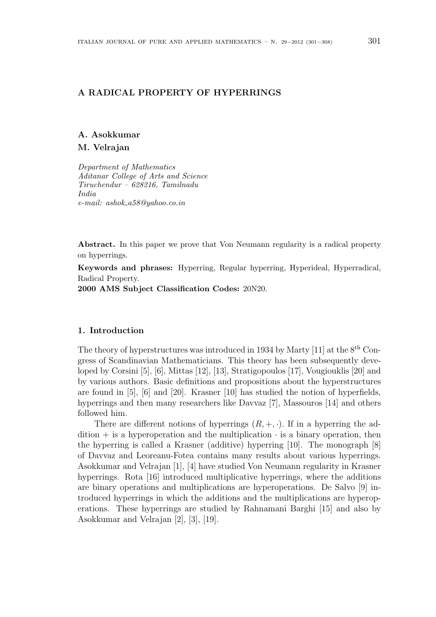# A RADICAL PROPERTY OF HYPERRINGS

### A. Asokkumar

### M. Velrajan

Department of Mathematics Aditanar College of Arts and Science Tiruchendur – 628216, Tamilnadu India e-mail: ashok a58@yahoo.co.in

Abstract. In this paper we prove that Von Neumann regularity is a radical property on hyperrings.

Keywords and phrases: Hyperring, Regular hyperring, Hyperideal, Hyperradical, Radical Property.

2000 AMS Subject Classification Codes: 20N20.

### 1. Introduction

The theory of hyperstructures was introduced in 1934 by Marty [11] at the  $8<sup>th</sup>$  Congress of Scandinavian Mathematicians. This theory has been subsequently developed by Corsini [5], [6], Mittas [12], [13], Stratigopoulos [17], Vougiouklis [20] and by various authors. Basic definitions and propositions about the hyperstructures are found in [5], [6] and [20]. Krasner [10] has studied the notion of hyperfields, hyperrings and then many researchers like Davvaz [7], Massouros [14] and others followed him.

There are different notions of hyperrings  $(R, +, \cdot)$ . If in a hyperring the ad- $\text{dition} + \text{is a hyperoperation}$  and the multiplication  $\cdot$  is a binary operation, then the hyperring is called a Krasner (additive) hyperring [10]. The monograph [8] of Davvaz and Leoreanu-Fotea contains many results about various hyperrings. Asokkumar and Velrajan [1], [4] have studied Von Neumann regularity in Krasner hyperrings. Rota [16] introduced multiplicative hyperrings, where the additions are binary operations and multiplications are hyperoperations. De Salvo [9] introduced hyperrings in which the additions and the multiplications are hyperoperations. These hyperrings are studied by Rahnamani Barghi [15] and also by Asokkumar and Velrajan [2], [3], [19].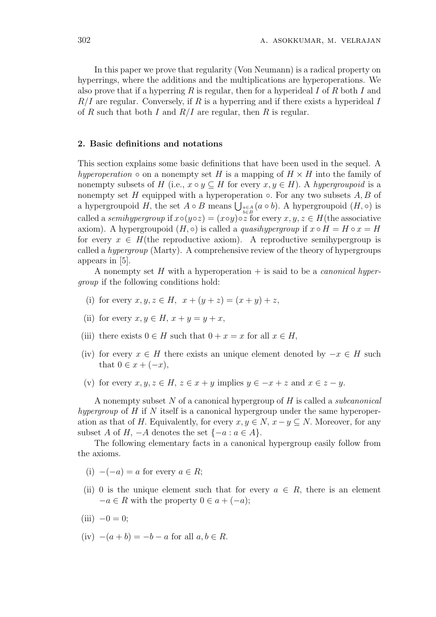In this paper we prove that regularity (Von Neumann) is a radical property on hyperrings, where the additions and the multiplications are hyperoperations. We also prove that if a hyperring  $R$  is regular, then for a hyperideal  $I$  of  $R$  both  $I$  and  $R/I$  are regular. Conversely, if R is a hyperring and if there exists a hyperideal I of R such that both I and  $R/I$  are regular, then R is regular.

### 2. Basic definitions and notations

This section explains some basic definitions that have been used in the sequel. A hyperoperation  $\circ$  on a nonempty set H is a mapping of  $H \times H$  into the family of nonempty subsets of H (i.e.,  $x \circ y \subseteq H$  for every  $x, y \in H$ ). A hypergroupoid is a nonempty set H equipped with a hyperoperation  $\circ$ . For any two subsets A, B of nonempty set  $H$  equipped with a hyperoperation  $\circ$ . For any two subsets  $A, B$  or a hypergroupoid  $H$ , the set  $A \circ B$  means  $\bigcup_{b \in B} (a \circ b)$ . A hypergroupoid  $(H, \circ)$  is called a semihypergroup if  $x \circ (y \circ z) = (x \circ y) \circ z$  for every  $x, y, z \in H$  (the associative axiom). A hypergroupoid  $(H, \circ)$  is called a *quasihypergroup* if  $x \circ H = H \circ x = H$ for every  $x \in H$ (the reproductive axiom). A reproductive semihypergroup is called a hypergroup (Marty). A comprehensive review of the theory of hypergroups appears in [5].

A nonempty set H with a hyperoperation  $+$  is said to be a *canonical hyper*group if the following conditions hold:

- (i) for every  $x, y, z \in H$ ,  $x + (y + z) = (x + y) + z$ ,
- (ii) for every  $x, y \in H$ ,  $x + y = y + x$ ,
- (iii) there exists  $0 \in H$  such that  $0 + x = x$  for all  $x \in H$ ,
- (iv) for every  $x \in H$  there exists an unique element denoted by  $-x \in H$  such that  $0 \in x + (-x)$ ,
- (v) for every  $x, y, z \in H$ ,  $z \in x + y$  implies  $y \in -x + z$  and  $x \in z y$ .

A nonempty subset  $N$  of a canonical hypergroup of  $H$  is called a *subcanonical* hypergroup of  $H$  if  $N$  itself is a canonical hypergroup under the same hyperoperation as that of H. Equivalently, for every  $x, y \in N$ ,  $x - y \subset N$ . Moreover, for any subset A of H,  $-A$  denotes the set  $\{-a : a \in A\}$ .

The following elementary facts in a canonical hypergroup easily follow from the axioms.

- (i)  $-(-a) = a$  for every  $a \in R$ ;
- (ii) 0 is the unique element such that for every  $a \in R$ , there is an element  $-a \in R$  with the property  $0 \in a + (-a)$ ;
- $(iii) -0 = 0;$
- (iv)  $-(a + b) = -b a$  for all  $a, b \in R$ .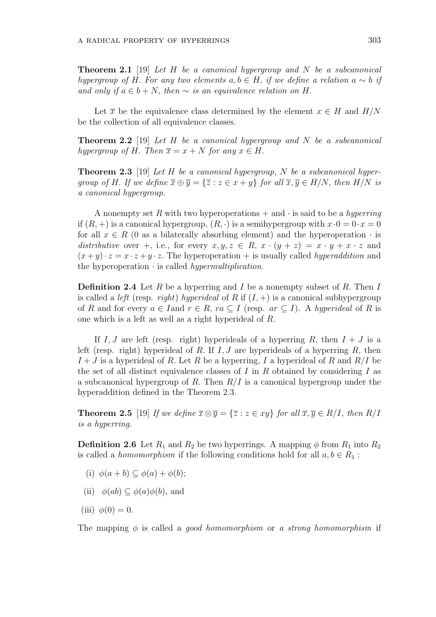**Theorem 2.1** [19] Let H be a canonical hypergroup and N be a subcanonical hypergroup of H. For any two elements  $a, b \in H$ , if we define a relation  $a \sim b$  if and only if  $a \in b + N$ , then  $\sim$  is an equivalence relation on H.

Let  $\bar{x}$  be the equivalence class determined by the element  $x \in H$  and  $H/N$ be the collection of all equivalence classes.

**Theorem 2.2** [19] Let H be a canonical hypergroup and N be a subcanonical hypergroup of H. Then  $\overline{x} = x + N$  for any  $x \in H$ .

**Theorem 2.3** [19] Let H be a canonical hypergroup, N be a subcanonical hypergroup of H. If we define  $\overline{x} \oplus \overline{y} = {\overline{z} : z \in x + y}$  for all  $\overline{x}, \overline{y} \in H/N$ , then  $H/N$  is a canonical hypergroup.

A nonempty set R with two hyperoperations  $+$  and  $\cdot$  is said to be a hyperring if  $(R, +)$  is a canonical hypergroup,  $(R, \cdot)$  is a semihypergroup with  $x \cdot 0 = 0 \cdot x = 0$ for all  $x \in R$  (0 as a bilaterally absorbing element) and the hyperoperation  $\cdot$  is distributive over +, i.e., for every  $x, y, z \in R$ ,  $x \cdot (y + z) = x \cdot y + x \cdot z$  and  $(x+y)\cdot z = x\cdot z + y\cdot z$ . The hyperoperation + is usually called *hyperaddition* and the hyperoperation  $\cdot$  is called *hypermultiplication*.

**Definition 2.4** Let R be a hyperring and I be a nonempty subset of R. Then I is called a *left* (resp. *right*) hyperideal of R if  $(I, +)$  is a canonical subhypergroup of R and for every  $a \in I$  and  $r \in R$ ,  $ra \subset I$  (resp.  $ar \subset I$ ). A hyperideal of R is one which is a left as well as a right hyperideal of R.

If I, J are left (resp. right) hyperideals of a hyperring R, then  $I + J$  is a left (resp. right) hyperideal of R. If  $I, J$  are hyperideals of a hyperring R, then  $I + J$  is a hyperideal of R. Let R be a hyperring, I a hyperideal of R and  $R/I$  be the set of all distinct equivalence classes of  $I$  in  $R$  obtained by considering  $I$  as a subcanonical hypergroup of R. Then  $R/I$  is a canonical hypergroup under the hyperaddition defined in the Theorem 2.3.

**Theorem 2.5** [19] If we define  $\overline{x} \otimes \overline{y} = {\overline{z} : z \in xy}$  for all  $\overline{x}, \overline{y} \in R/I$ , then  $R/I$ is a hyperring.

**Definition 2.6** Let  $R_1$  and  $R_2$  be two hyperrings. A mapping  $\phi$  from  $R_1$  into  $R_2$ is called a *homomorphism* if the following conditions hold for all  $a, b \in R_1$ :

- (i)  $\phi(a+b) \subseteq \phi(a) + \phi(b)$ ;
- (ii)  $\phi(ab) \subseteq \phi(a)\phi(b)$ , and
- (iii)  $\phi(0) = 0$ .

The mapping  $\phi$  is called a *good homomorphism* or a *strong homomorphism* if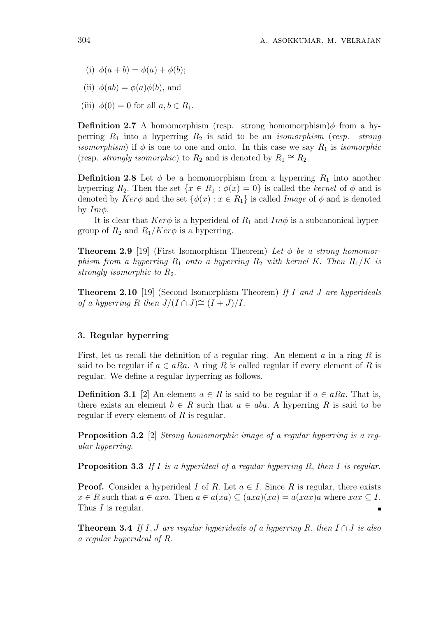- (i)  $\phi(a + b) = \phi(a) + \phi(b);$
- (ii)  $\phi(ab) = \phi(a)\phi(b)$ , and
- (iii)  $\phi(0) = 0$  for all  $a, b \in R_1$ .

**Definition 2.7** A homomorphism (resp. strong homomorphism) $\phi$  from a hyperring  $R_1$  into a hyperring  $R_2$  is said to be an *isomorphism* (resp. strong *isomorphism*) if  $\phi$  is one to one and onto. In this case we say  $R_1$  is *isomorphic* (resp. *strongly isomorphic*) to  $R_2$  and is denoted by  $R_1 \cong R_2$ .

**Definition 2.8** Let  $\phi$  be a homomorphism from a hyperring  $R_1$  into another hyperring  $R_2$ . Then the set  $\{x \in R_1 : \phi(x) = 0\}$  is called the kernel of  $\phi$  and is denoted by  $Ker\phi$  and the set  $\{\phi(x): x \in R_1\}$  is called *Image* of  $\phi$  and is denoted by  $Im\phi$ .

It is clear that  $Ker\phi$  is a hyperideal of  $R_1$  and  $Im\phi$  is a subcanonical hypergroup of  $R_2$  and  $R_1/Ker\phi$  is a hyperring.

**Theorem 2.9** [19] (First Isomorphism Theorem) Let  $\phi$  be a strong homomorphism from a hyperring  $R_1$  onto a hyperring  $R_2$  with kernel K. Then  $R_1/K$  is strongly isomorphic to  $R_2$ .

Theorem 2.10 [19] (Second Isomorphism Theorem) If I and J are hyperideals of a hyperring R then  $J/(I \cap J) \cong (I + J)/I$ .

# 3. Regular hyperring

First, let us recall the definition of a regular ring. An element  $a$  in a ring  $R$  is said to be regular if  $a \in aRa$ . A ring R is called regular if every element of R is regular. We define a regular hyperring as follows.

**Definition 3.1** [2] An element  $a \in R$  is said to be regular if  $a \in aRa$ . That is, there exists an element  $b \in R$  such that  $a \in aba$ . A hyperring R is said to be regular if every element of  $R$  is regular.

Proposition 3.2 [2] Strong homomorphic image of a regular hyperring is a regular hyperring.

**Proposition 3.3** If I is a hyperideal of a regular hyperring R, then I is regular.

**Proof.** Consider a hyperideal I of R. Let  $a \in I$ . Since R is regular, there exists  $x \in R$  such that  $a \in axa$ . Then  $a \in a(xa) \subseteq (axa)(xa) = a(xax)a$  where  $xax \subseteq I$ . Thus I is regular.

**Theorem 3.4** If I, J are regular hyperideals of a hyperring R, then  $I \cap J$  is also a regular hyperideal of R.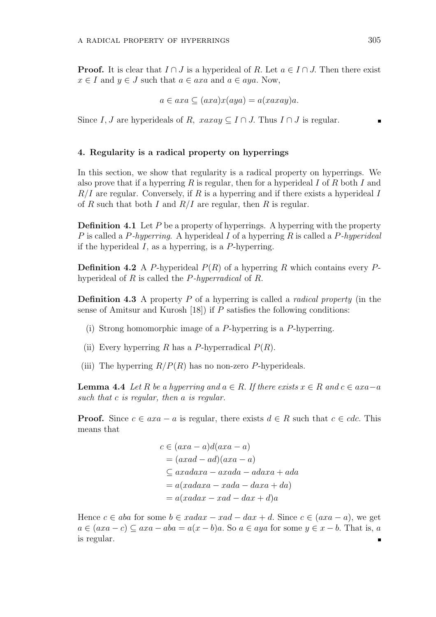**Proof.** It is clear that  $I \cap J$  is a hyperideal of R. Let  $a \in I \cap J$ . Then there exist  $x \in I$  and  $y \in J$  such that  $a \in axa$  and  $a \in aya$ . Now,

$$
a \in axa \subseteq (axa)x(aya) = a(xaxay)a.
$$

Since I, J are hyperideals of R,  $xaxay \subseteq I \cap J$ . Thus  $I \cap J$  is regular.

## 4. Regularity is a radical property on hyperrings

In this section, we show that regularity is a radical property on hyperrings. We also prove that if a hyperring R is regular, then for a hyperideal I of R both I and  $R/I$  are regular. Conversely, if R is a hyperring and if there exists a hyperideal I of R such that both I and  $R/I$  are regular, then R is regular.

**Definition 4.1** Let P be a property of hyperrings. A hyperring with the property P is called a P-hyperring. A hyperideal I of a hyperring R is called a P-hyperideal if the hyperideal  $I$ , as a hyperring, is a  $P$ -hyperring.

**Definition 4.2** A P-hyperideal  $P(R)$  of a hyperring R which contains every Phyperideal of R is called the P-hyperradical of R.

**Definition 4.3** A property P of a hyperring is called a *radical property* (in the sense of Amitsur and Kurosh  $(18)$  if P satisfies the following conditions:

- (i) Strong homomorphic image of a P-hyperring is a P-hyperring.
- (ii) Every hyperring R has a P-hyperradical  $P(R)$ .
- (iii) The hyperring  $R/P(R)$  has no non-zero P-hyperideals.

**Lemma 4.4** Let R be a hyperring and  $a \in R$ . If there exists  $x \in R$  and  $c \in axa-a$ such that c is regular, then a is regular.

**Proof.** Since  $c \in axa - a$  is regular, there exists  $d \in R$  such that  $c \in cdc$ . This means that

$$
c \in (axa - a)d(axa - a)
$$
  
=  $(axad - ad)(axa - a)$   
 $\subseteq axadaxa - axada - adaxa + ada$   
=  $a(xadaxa - xada - daxa + da)$   
=  $a(xadax - xad - dax + d)a$ 

Hence  $c \in aba$  for some  $b \in xadar - xad - dax + d$ . Since  $c \in (axa - a)$ , we get  $a \in (axa - c) \subseteq axa - aba = a(x - b)a$ . So  $a \in aya$  for some  $y \in x - b$ . That is, a is regular. $\blacksquare$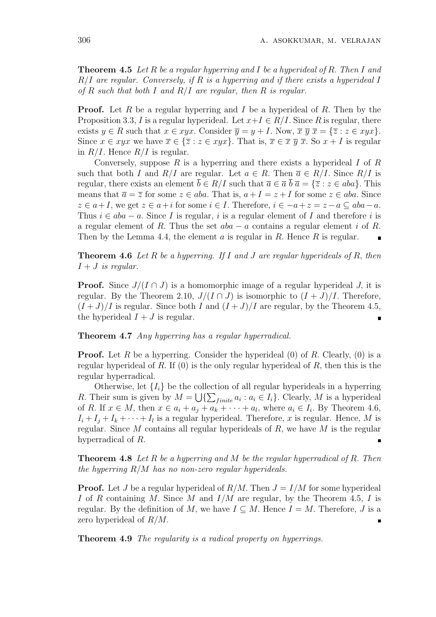**Theorem 4.5** Let R be a regular hyperring and I be a hyperideal of R. Then I and  $R/I$  are regular. Conversely, if R is a hyperring and if there exists a hyperideal I of R such that both I and  $R/I$  are regular, then R is regular.

**Proof.** Let R be a regular hyperring and I be a hyperideal of R. Then by the Proposition 3.3, I is a regular hyperideal. Let  $x+I \in R/I$ . Since R is regular, there exists  $y \in R$  such that  $x \in xyx$ . Consider  $\overline{y} = y + I$ . Now,  $\overline{x} \overline{y} \overline{x} = {\overline{z} : z \in xyx}.$ Since  $x \in xyx$  we have  $\overline{x} \in {\overline{z}} : z \in xyx$ . That is,  $\overline{x} \in \overline{x}$   $\overline{y}$   $\overline{x}$ . So  $x + I$  is regular in  $R/I$ . Hence  $R/I$  is regular.

Conversely, suppose  $R$  is a hyperring and there exists a hyperideal  $I$  of  $R$ such that both I and  $R/I$  are regular. Let  $a \in R$ . Then  $\overline{a} \in R/I$ . Since  $R/I$  is regular, there exists an element  $\overline{b} \in R/I$  such that  $\overline{a} \in \overline{a} \overline{b} \overline{a} = {\overline{z} : z \in aba}$ . This means that  $\overline{a} = \overline{z}$  for some  $z \in aba$ . That is,  $a + I = z + I$  for some  $z \in aba$ . Since  $z \in a+I$ , we get  $z \in a+i$  for some  $i \in I$ . Therefore,  $i \in -a+z=z-a \subseteq aba-a$ . Thus  $i \in aba - a$ . Since I is regular, i is a regular element of I and therefore i is a regular element of R. Thus the set  $aba - a$  contains a regular element i of R. Then by the Lemma 4.4, the element  $a$  is regular in  $R$ . Hence  $R$  is regular.

**Theorem 4.6** Let R be a hyperring. If I and J are regular hyperideals of R, then  $I + J$  is regular.

**Proof.** Since  $J/(I \cap J)$  is a homomorphic image of a regular hyperideal J, it is regular. By the Theorem 2.10,  $J/(I \cap J)$  is isomorphic to  $(I + J)/I$ . Therefore,  $(I+J)/I$  is regular. Since both I and  $(I+J)/I$  are regular, by the Theorem 4.5, the hyperideal  $I + J$  is regular.

Theorem 4.7 Any hyperring has a regular hyperradical.

**Proof.** Let R be a hyperring. Consider the hyperideal  $(0)$  of R. Clearly,  $(0)$  is a regular hyperideal of R. If  $(0)$  is the only regular hyperideal of R, then this is the regular hyperradical.

Otherwise, let  $\{I_i\}$  be the collection of all regular hyperideals in a hyperring R. Their sum is given by  $M = \bigcup \{\sum_{finite} a_i : a_i \in I_i\}$ . Clearly, M is a hyperideal of R. If  $x \in M$ , then  $x \in a_i + a_j + a_k + \cdots + a_l$ , where  $a_i \in I_i$ . By Theorem 4.6,  $I_i + I_j + I_k + \cdots + I_l$  is a regular hyperideal. Therefore, x is regular. Hence, M is regular. Since  $M$  contains all regular hyperideals of  $R$ , we have  $M$  is the regular hyperradical of R.

**Theorem 4.8** Let R be a hyperring and M be the regular hyperradical of R. Then the hyperring  $R/M$  has no non-zero regular hyperideals.

**Proof.** Let J be a regular hyperideal of  $R/M$ . Then  $J = I/M$  for some hyperideal I of R containing M. Since M and  $I/M$  are regular, by the Theorem 4.5, I is regular. By the definition of M, we have  $I \subseteq M$ . Hence  $I = M$ . Therefore, J is a zero hyperideal of R/M.

Theorem 4.9 The regularity is a radical property on hyperrings.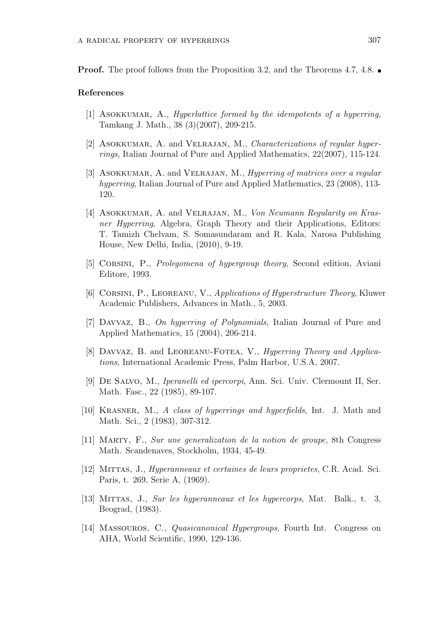**Proof.** The proof follows from the Proposition 3.2, and the Theorems 4.7, 4.8.

## References

- [1] ASOKKUMAR, A., Hyperlattice formed by the idempotents of a hyperring, Tamkang J. Math., 38 (3)(2007), 209-215.
- [2] ASOKKUMAR, A. and VELRAJAN, M., Characterizations of regular hyperrings, Italian Journal of Pure and Applied Mathematics, 22(2007), 115-124.
- [3] ASOKKUMAR, A. and VELRAJAN, M., *Hyperring of matrices over a regular* hyperring, Italian Journal of Pure and Applied Mathematics, 23 (2008), 113- 120.
- [4] ASOKKUMAR, A. and VELRAJAN, M., Von Neumann Regularity on Krasner Hyperring, Algebra, Graph Theory and their Applications, Editors: T. Tamizh Chelvam, S. Somasundaram and R. Kala, Narosa Publishing House, New Delhi, India, (2010), 9-19.
- [5] Corsini, P., Prolegomena of hypergroup theory, Second edition, Aviani Editore, 1993.
- [6] Corsini, P., Leoreanu, V., Applications of Hyperstructure Theory, Kluwer Academic Publishers, Advances in Math., 5, 2003.
- [7] Davvaz, B., On hyperring of Polynomials, Italian Journal of Pure and Applied Mathematics, 15 (2004), 206-214.
- [8] DAVVAZ, B. and LEOREANU-FOTEA, V., Hyperring Theory and Applications, International Academic Press, Palm Harbor, U.S.A, 2007.
- [9] De Salvo, M., Iperanelli ed ipercorpi, Ann. Sci. Univ. Clermount II, Ser. Math. Fasc., 22 (1985), 89-107.
- [10] KRASNER, M., A class of hyperrings and hyperfields, Int. J. Math and Math. Sci., 2 (1983), 307-312.
- [11] Marty, F., Sur une generalization de la notion de groupe, 8th Congress Math. Scandenaves, Stockholm, 1934, 45-49.
- [12] Mittas, J., Hyperanneaux et certaines de leurs proprietes, C.R. Acad. Sci. Paris, t. 269, Serie A, (1969).
- [13] Mittas, J., Sur les hyperanneaux et les hypercorps, Mat. Balk., t. 3, Beograd, (1983).
- [14] Massouros, C., Quasicanonical Hypergroups, Fourth Int. Congress on AHA, World Scientific, 1990, 129-136.